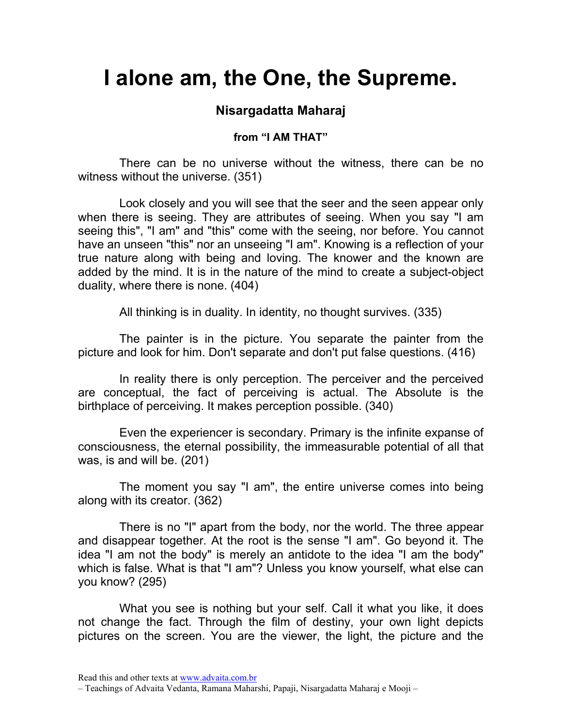# I alone am, the One, the Supreme.

## Nisargadatta Maharaj

### from "I AM THAT"

There can be no universe without the witness, there can be no witness without the universe. (351)

Look closely and you will see that the seer and the seen appear only when there is seeing. They are attributes of seeing. When you say "I am seeing this", "I am" and "this" come with the seeing, nor before. You cannot have an unseen "this" nor an unseeing "I am". Knowing is a reflection of your true nature along with being and loving. The knower and the known are added by the mind. It is in the nature of the mind to create a subject-object duality, where there is none. (404)

All thinking is in duality. In identity, no thought survives. (335)

The painter is in the picture. You separate the painter from the picture and look for him. Don't separate and don't put false questions. (416)

In reality there is only perception. The perceiver and the perceived are conceptual, the fact of perceiving is actual. The Absolute is the birthplace of perceiving. It makes perception possible. (340)

Even the experiencer is secondary. Primary is the infinite expanse of consciousness, the eternal possibility, the immeasurable potential of all that was, is and will be. (201)

The moment you say "I am", the entire universe comes into being along with its creator. (362)

There is no "I" apart from the body, nor the world. The three appear and disappear together. At the root is the sense "I am". Go beyond it. The idea "I am not the body" is merely an antidote to the idea "I am the body" which is false. What is that "I am"? Unless you know yourself, what else can you know? (295)

What you see is nothing but your self. Call it what you like, it does not change the fact. Through the film of destiny, your own light depicts pictures on the screen. You are the viewer, the light, the picture and the

<sup>–</sup> Teachings of Advaita Vedanta, Ramana Maharshi, Papaji, Nisargadatta Maharaj e Mooji –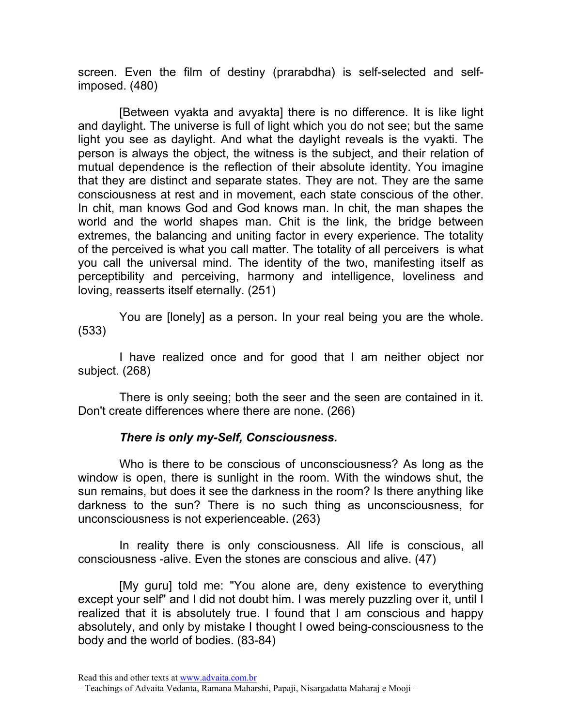screen. Even the film of destiny (prarabdha) is self-selected and selfimposed. (480)

[Between vyakta and avyakta] there is no difference. It is like light and daylight. The universe is full of light which you do not see; but the same light you see as daylight. And what the daylight reveals is the vyakti. The person is always the object, the witness is the subject, and their relation of mutual dependence is the reflection of their absolute identity. You imagine that they are distinct and separate states. They are not. They are the same consciousness at rest and in movement, each state conscious of the other. In chit, man knows God and God knows man. In chit, the man shapes the world and the world shapes man. Chit is the link, the bridge between extremes, the balancing and uniting factor in every experience. The totality of the perceived is what you call matter. The totality of all perceivers is what you call the universal mind. The identity of the two, manifesting itself as perceptibility and perceiving, harmony and intelligence, loveliness and loving, reasserts itself eternally. (251)

You are [lonely] as a person. In your real being you are the whole. (533)

I have realized once and for good that I am neither object nor subject. (268)

There is only seeing; both the seer and the seen are contained in it. Don't create differences where there are none. (266)

## There is only my-Self, Consciousness.

Who is there to be conscious of unconsciousness? As long as the window is open, there is sunlight in the room. With the windows shut, the sun remains, but does it see the darkness in the room? Is there anything like darkness to the sun? There is no such thing as unconsciousness, for unconsciousness is not experienceable. (263)

In reality there is only consciousness. All life is conscious, all consciousness -alive. Even the stones are conscious and alive. (47)

[My guru] told me: "You alone are, deny existence to everything except your self" and I did not doubt him. I was merely puzzling over it, until I realized that it is absolutely true. I found that I am conscious and happy absolutely, and only by mistake I thought I owed being-consciousness to the body and the world of bodies. (83-84)

<sup>–</sup> Teachings of Advaita Vedanta, Ramana Maharshi, Papaji, Nisargadatta Maharaj e Mooji –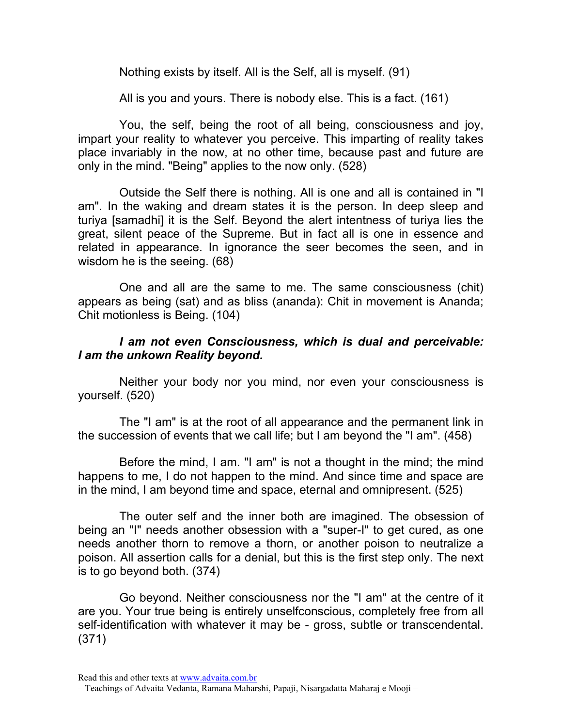Nothing exists by itself. All is the Self, all is myself. (91)

All is you and yours. There is nobody else. This is a fact. (161)

You, the self, being the root of all being, consciousness and joy, impart your reality to whatever you perceive. This imparting of reality takes place invariably in the now, at no other time, because past and future are only in the mind. "Being" applies to the now only. (528)

Outside the Self there is nothing. All is one and all is contained in "I am". In the waking and dream states it is the person. In deep sleep and turiya [samadhi] it is the Self. Beyond the alert intentness of turiya lies the great, silent peace of the Supreme. But in fact all is one in essence and related in appearance. In ignorance the seer becomes the seen, and in wisdom he is the seeing. (68)

One and all are the same to me. The same consciousness (chit) appears as being (sat) and as bliss (ananda): Chit in movement is Ananda; Chit motionless is Being. (104)

## I am not even Consciousness, which is dual and perceivable: I am the unkown Reality beyond.

Neither your body nor you mind, nor even your consciousness is yourself. (520)

The "I am" is at the root of all appearance and the permanent link in the succession of events that we call life; but I am beyond the "I am". (458)

Before the mind, I am. "I am" is not a thought in the mind; the mind happens to me, I do not happen to the mind. And since time and space are in the mind, I am beyond time and space, eternal and omnipresent. (525)

The outer self and the inner both are imagined. The obsession of being an "I" needs another obsession with a "super-I" to get cured, as one needs another thorn to remove a thorn, or another poison to neutralize a poison. All assertion calls for a denial, but this is the first step only. The next is to go beyond both. (374)

Go beyond. Neither consciousness nor the "I am" at the centre of it are you. Your true being is entirely unselfconscious, completely free from all self-identification with whatever it may be - gross, subtle or transcendental. (371)

Read this and other texts at www.advaita.com.br

<sup>–</sup> Teachings of Advaita Vedanta, Ramana Maharshi, Papaji, Nisargadatta Maharaj e Mooji –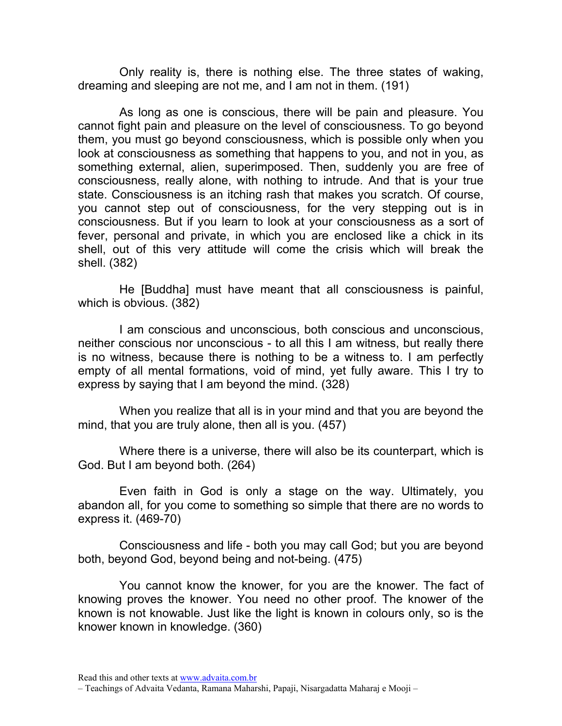Only reality is, there is nothing else. The three states of waking, dreaming and sleeping are not me, and I am not in them. (191)

As long as one is conscious, there will be pain and pleasure. You cannot fight pain and pleasure on the level of consciousness. To go beyond them, you must go beyond consciousness, which is possible only when you look at consciousness as something that happens to you, and not in you, as something external, alien, superimposed. Then, suddenly you are free of consciousness, really alone, with nothing to intrude. And that is your true state. Consciousness is an itching rash that makes you scratch. Of course, you cannot step out of consciousness, for the very stepping out is in consciousness. But if you learn to look at your consciousness as a sort of fever, personal and private, in which you are enclosed like a chick in its shell, out of this very attitude will come the crisis which will break the shell. (382)

He [Buddha] must have meant that all consciousness is painful, which is obvious. (382)

I am conscious and unconscious, both conscious and unconscious, neither conscious nor unconscious - to all this I am witness, but really there is no witness, because there is nothing to be a witness to. I am perfectly empty of all mental formations, void of mind, yet fully aware. This I try to express by saying that I am beyond the mind. (328)

When you realize that all is in your mind and that you are beyond the mind, that you are truly alone, then all is you. (457)

Where there is a universe, there will also be its counterpart, which is God. But I am beyond both. (264)

Even faith in God is only a stage on the way. Ultimately, you abandon all, for you come to something so simple that there are no words to express it. (469-70)

Consciousness and life - both you may call God; but you are beyond both, beyond God, beyond being and not-being. (475)

You cannot know the knower, for you are the knower. The fact of knowing proves the knower. You need no other proof. The knower of the known is not knowable. Just like the light is known in colours only, so is the knower known in knowledge. (360)

<sup>–</sup> Teachings of Advaita Vedanta, Ramana Maharshi, Papaji, Nisargadatta Maharaj e Mooji –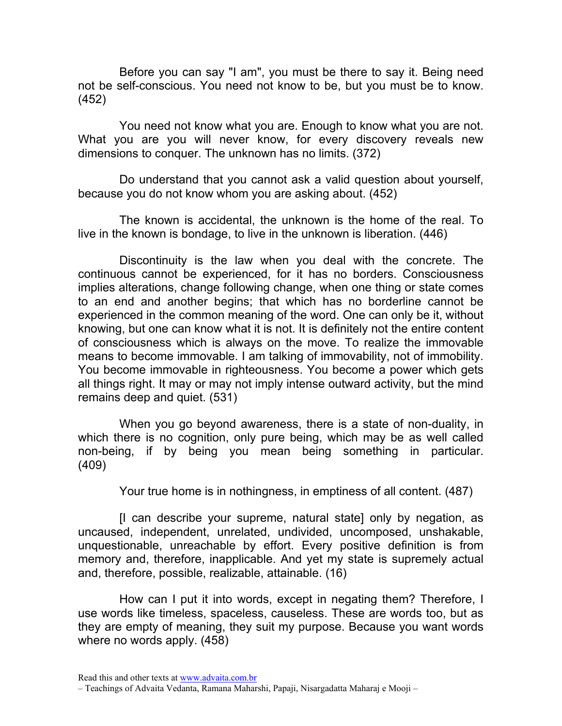Before you can say "I am", you must be there to say it. Being need not be self-conscious. You need not know to be, but you must be to know. (452)

You need not know what you are. Enough to know what you are not. What you are you will never know, for every discovery reveals new dimensions to conquer. The unknown has no limits. (372)

Do understand that you cannot ask a valid question about yourself, because you do not know whom you are asking about. (452)

The known is accidental, the unknown is the home of the real. To live in the known is bondage, to live in the unknown is liberation. (446)

Discontinuity is the law when you deal with the concrete. The continuous cannot be experienced, for it has no borders. Consciousness implies alterations, change following change, when one thing or state comes to an end and another begins; that which has no borderline cannot be experienced in the common meaning of the word. One can only be it, without knowing, but one can know what it is not. It is definitely not the entire content of consciousness which is always on the move. To realize the immovable means to become immovable. I am talking of immovability, not of immobility. You become immovable in righteousness. You become a power which gets all things right. It may or may not imply intense outward activity, but the mind remains deep and quiet. (531)

When you go beyond awareness, there is a state of non-duality, in which there is no cognition, only pure being, which may be as well called non-being, if by being you mean being something in particular. (409)

Your true home is in nothingness, in emptiness of all content. (487)

[I can describe your supreme, natural state] only by negation, as uncaused, independent, unrelated, undivided, uncomposed, unshakable, unquestionable, unreachable by effort. Every positive definition is from memory and, therefore, inapplicable. And yet my state is supremely actual and, therefore, possible, realizable, attainable. (16)

How can I put it into words, except in negating them? Therefore, I use words like timeless, spaceless, causeless. These are words too, but as they are empty of meaning, they suit my purpose. Because you want words where no words apply. (458)

Read this and other texts at www.advaita.com.br – Teachings of Advaita Vedanta, Ramana Maharshi, Papaji, Nisargadatta Maharaj e Mooji –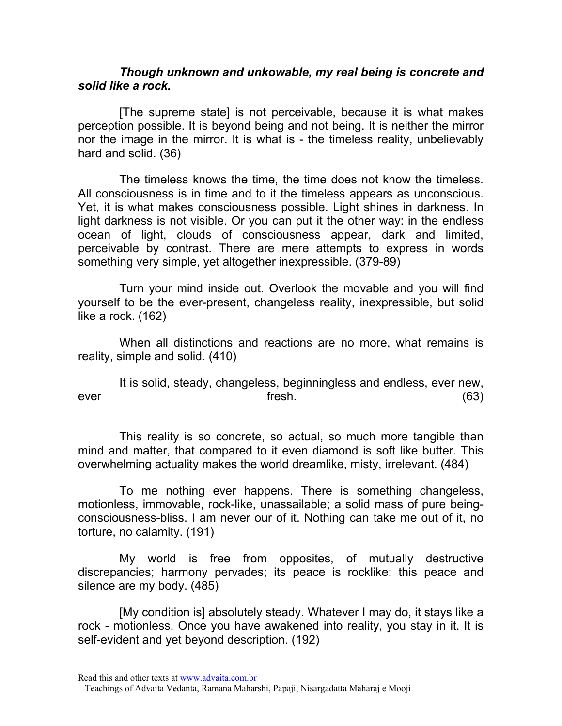#### Though unknown and unkowable, my real being is concrete and solid like a rock.

[The supreme state] is not perceivable, because it is what makes perception possible. It is beyond being and not being. It is neither the mirror nor the image in the mirror. It is what is - the timeless reality, unbelievably hard and solid. (36)

The timeless knows the time, the time does not know the timeless. All consciousness is in time and to it the timeless appears as unconscious. Yet, it is what makes consciousness possible. Light shines in darkness. In light darkness is not visible. Or you can put it the other way: in the endless ocean of light, clouds of consciousness appear, dark and limited, perceivable by contrast. There are mere attempts to express in words something very simple, yet altogether inexpressible. (379-89)

Turn your mind inside out. Overlook the movable and you will find yourself to be the ever-present, changeless reality, inexpressible, but solid like a rock. (162)

When all distinctions and reactions are no more, what remains is reality, simple and solid. (410)

It is solid, steady, changeless, beginningless and endless, ever new, ever fresh. (63)

This reality is so concrete, so actual, so much more tangible than mind and matter, that compared to it even diamond is soft like butter. This overwhelming actuality makes the world dreamlike, misty, irrelevant. (484)

To me nothing ever happens. There is something changeless, motionless, immovable, rock-like, unassailable; a solid mass of pure beingconsciousness-bliss. I am never our of it. Nothing can take me out of it, no torture, no calamity. (191)

My world is free from opposites, of mutually destructive discrepancies; harmony pervades; its peace is rocklike; this peace and silence are my body. (485)

[My condition is] absolutely steady. Whatever I may do, it stays like a rock - motionless. Once you have awakened into reality, you stay in it. It is self-evident and yet beyond description. (192)

<sup>–</sup> Teachings of Advaita Vedanta, Ramana Maharshi, Papaji, Nisargadatta Maharaj e Mooji –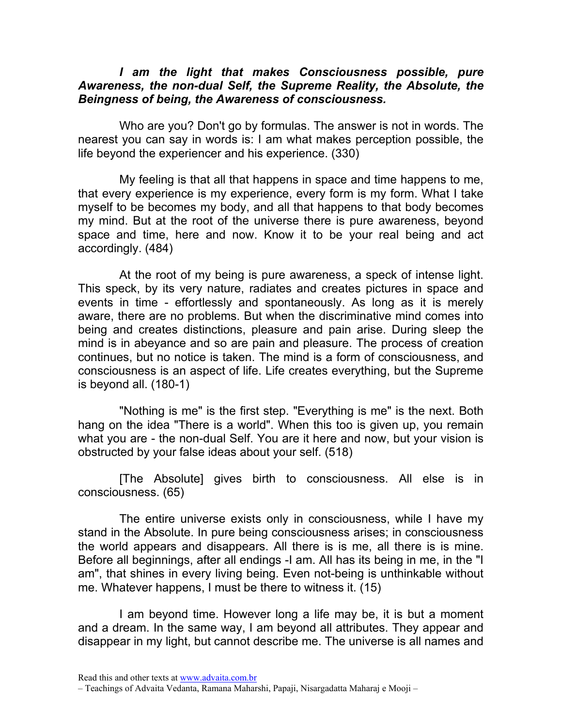### I am the light that makes Consciousness possible, pure Awareness, the non-dual Self, the Supreme Reality, the Absolute, the Beingness of being, the Awareness of consciousness.

Who are you? Don't go by formulas. The answer is not in words. The nearest you can say in words is: I am what makes perception possible, the life beyond the experiencer and his experience. (330)

My feeling is that all that happens in space and time happens to me, that every experience is my experience, every form is my form. What I take myself to be becomes my body, and all that happens to that body becomes my mind. But at the root of the universe there is pure awareness, beyond space and time, here and now. Know it to be your real being and act accordingly. (484)

At the root of my being is pure awareness, a speck of intense light. This speck, by its very nature, radiates and creates pictures in space and events in time - effortlessly and spontaneously. As long as it is merely aware, there are no problems. But when the discriminative mind comes into being and creates distinctions, pleasure and pain arise. During sleep the mind is in abeyance and so are pain and pleasure. The process of creation continues, but no notice is taken. The mind is a form of consciousness, and consciousness is an aspect of life. Life creates everything, but the Supreme is beyond all. (180-1)

"Nothing is me" is the first step. "Everything is me" is the next. Both hang on the idea "There is a world". When this too is given up, you remain what you are - the non-dual Self. You are it here and now, but your vision is obstructed by your false ideas about your self. (518)

[The Absolute] gives birth to consciousness. All else is in consciousness. (65)

The entire universe exists only in consciousness, while I have my stand in the Absolute. In pure being consciousness arises; in consciousness the world appears and disappears. All there is is me, all there is is mine. Before all beginnings, after all endings -I am. All has its being in me, in the "I am", that shines in every living being. Even not-being is unthinkable without me. Whatever happens, I must be there to witness it. (15)

I am beyond time. However long a life may be, it is but a moment and a dream. In the same way, I am beyond all attributes. They appear and disappear in my light, but cannot describe me. The universe is all names and

<sup>–</sup> Teachings of Advaita Vedanta, Ramana Maharshi, Papaji, Nisargadatta Maharaj e Mooji –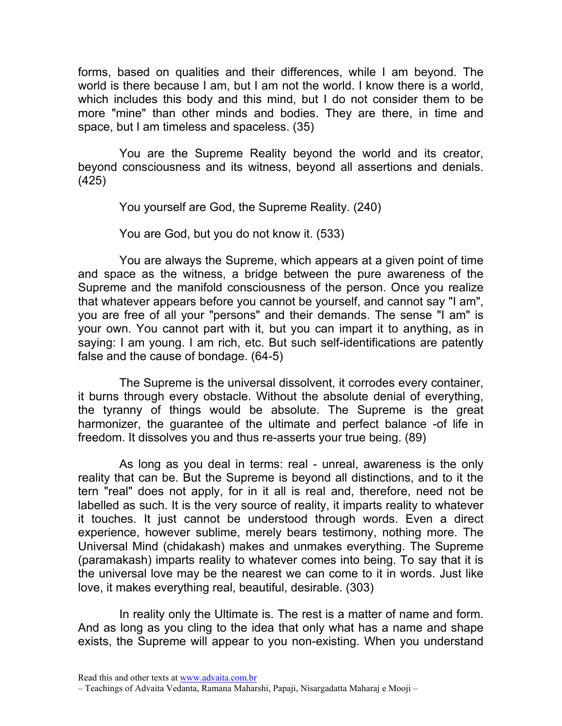forms, based on qualities and their differences, while I am beyond. The world is there because I am, but I am not the world. I know there is a world, which includes this body and this mind, but I do not consider them to be more "mine" than other minds and bodies. They are there, in time and space, but I am timeless and spaceless. (35)

You are the Supreme Reality beyond the world and its creator, beyond consciousness and its witness, beyond all assertions and denials. (425)

You yourself are God, the Supreme Reality. (240)

You are God, but you do not know it. (533)

You are always the Supreme, which appears at a given point of time and space as the witness, a bridge between the pure awareness of the Supreme and the manifold consciousness of the person. Once you realize that whatever appears before you cannot be yourself, and cannot say "I am", you are free of all your "persons" and their demands. The sense "I am" is your own. You cannot part with it, but you can impart it to anything, as in saying: I am young. I am rich, etc. But such self-identifications are patently false and the cause of bondage. (64-5)

The Supreme is the universal dissolvent, it corrodes every container, it burns through every obstacle. Without the absolute denial of everything, the tyranny of things would be absolute. The Supreme is the great harmonizer, the guarantee of the ultimate and perfect balance -of life in freedom. It dissolves you and thus re-asserts your true being. (89)

As long as you deal in terms: real - unreal, awareness is the only reality that can be. But the Supreme is beyond all distinctions, and to it the tern "real" does not apply, for in it all is real and, therefore, need not be labelled as such. It is the very source of reality, it imparts reality to whatever it touches. It just cannot be understood through words. Even a direct experience, however sublime, merely bears testimony, nothing more. The Universal Mind (chidakash) makes and unmakes everything. The Supreme (paramakash) imparts reality to whatever comes into being. To say that it is the universal love may be the nearest we can come to it in words. Just like love, it makes everything real, beautiful, desirable. (303)

In reality only the Ultimate is. The rest is a matter of name and form. And as long as you cling to the idea that only what has a name and shape exists, the Supreme will appear to you non-existing. When you understand

Read this and other texts at www.advaita.com.br

– Teachings of Advaita Vedanta, Ramana Maharshi, Papaji, Nisargadatta Maharaj e Mooji –